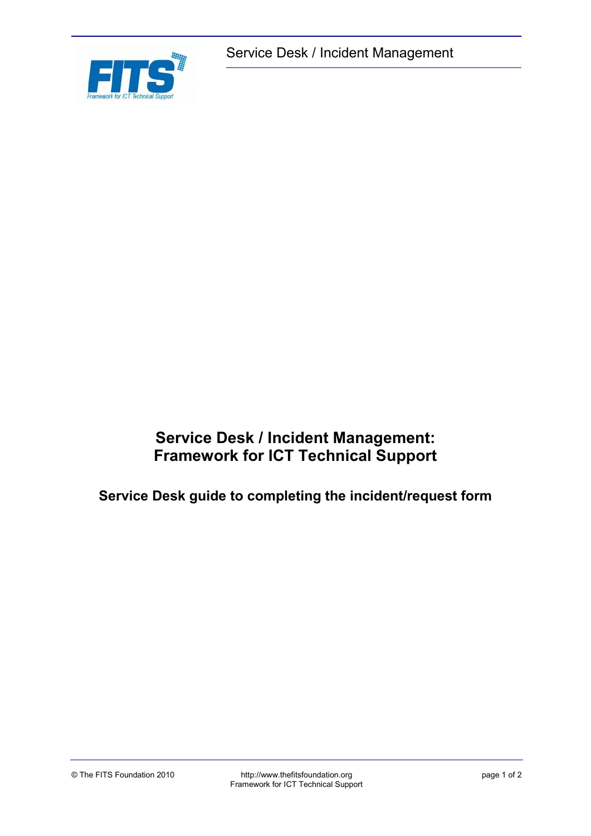

Service Desk / Incident Management

# **Service Desk / Incident Management: Framework for ICT Technical Support**

**Service Desk guide to completing the incident/request form**